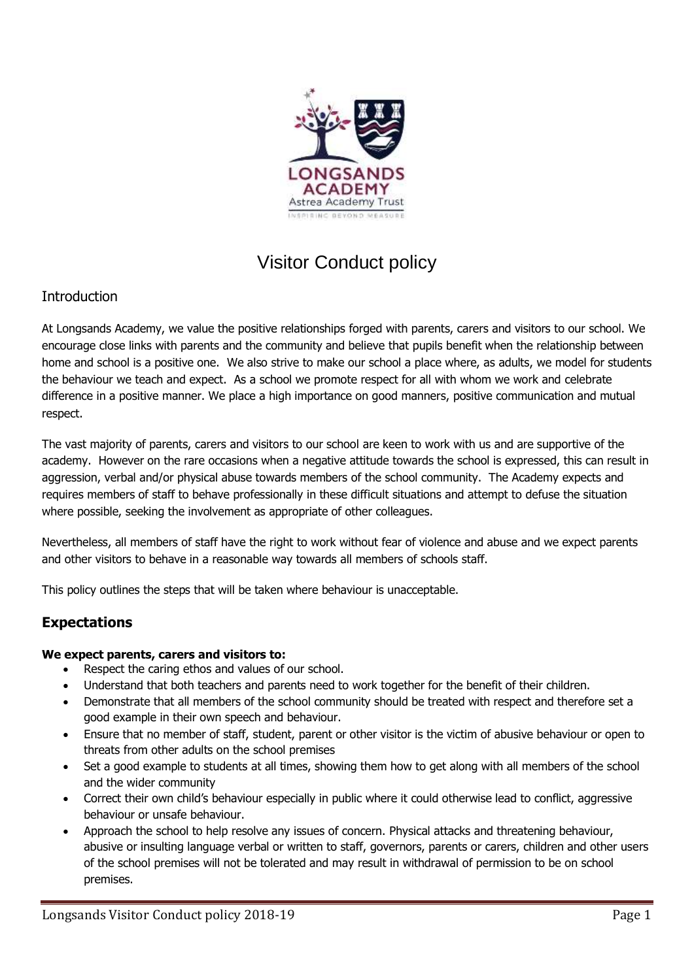

# Visitor Conduct policy

## Introduction

At Longsands Academy, we value the positive relationships forged with parents, carers and visitors to our school. We encourage close links with parents and the community and believe that pupils benefit when the relationship between home and school is a positive one. We also strive to make our school a place where, as adults, we model for students the behaviour we teach and expect. As a school we promote respect for all with whom we work and celebrate difference in a positive manner. We place a high importance on good manners, positive communication and mutual respect.

The vast majority of parents, carers and visitors to our school are keen to work with us and are supportive of the academy. However on the rare occasions when a negative attitude towards the school is expressed, this can result in aggression, verbal and/or physical abuse towards members of the school community. The Academy expects and requires members of staff to behave professionally in these difficult situations and attempt to defuse the situation where possible, seeking the involvement as appropriate of other colleagues.

Nevertheless, all members of staff have the right to work without fear of violence and abuse and we expect parents and other visitors to behave in a reasonable way towards all members of schools staff.

This policy outlines the steps that will be taken where behaviour is unacceptable.

# **Expectations**

#### **We expect parents, carers and visitors to:**

- Respect the caring ethos and values of our school.
- Understand that both teachers and parents need to work together for the benefit of their children.
- Demonstrate that all members of the school community should be treated with respect and therefore set a good example in their own speech and behaviour.
- Ensure that no member of staff, student, parent or other visitor is the victim of abusive behaviour or open to threats from other adults on the school premises
- Set a good example to students at all times, showing them how to get along with all members of the school and the wider community
- Correct their own child's behaviour especially in public where it could otherwise lead to conflict, aggressive behaviour or unsafe behaviour.
- Approach the school to help resolve any issues of concern. Physical attacks and threatening behaviour, abusive or insulting language verbal or written to staff, governors, parents or carers, children and other users of the school premises will not be tolerated and may result in withdrawal of permission to be on school premises.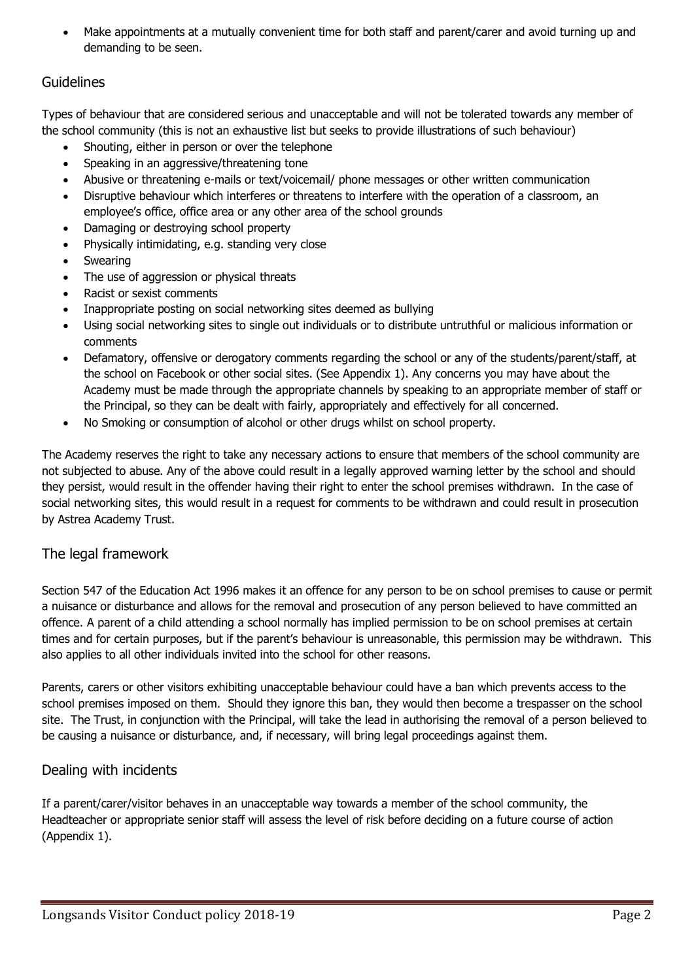Make appointments at a mutually convenient time for both staff and parent/carer and avoid turning up and demanding to be seen.

## Guidelines

Types of behaviour that are considered serious and unacceptable and will not be tolerated towards any member of the school community (this is not an exhaustive list but seeks to provide illustrations of such behaviour)

- Shouting, either in person or over the telephone
- Speaking in an aggressive/threatening tone
- Abusive or threatening e-mails or text/voicemail/ phone messages or other written communication
- Disruptive behaviour which interferes or threatens to interfere with the operation of a classroom, an employee's office, office area or any other area of the school grounds
- Damaging or destroying school property
- Physically intimidating, e.g. standing very close
- Swearing
- The use of aggression or physical threats
- Racist or sexist comments
- Inappropriate posting on social networking sites deemed as bullying
- Using social networking sites to single out individuals or to distribute untruthful or malicious information or comments
- Defamatory, offensive or derogatory comments regarding the school or any of the students/parent/staff, at the school on Facebook or other social sites. (See Appendix 1). Any concerns you may have about the Academy must be made through the appropriate channels by speaking to an appropriate member of staff or the Principal, so they can be dealt with fairly, appropriately and effectively for all concerned.
- No Smoking or consumption of alcohol or other drugs whilst on school property.

The Academy reserves the right to take any necessary actions to ensure that members of the school community are not subjected to abuse. Any of the above could result in a legally approved warning letter by the school and should they persist, would result in the offender having their right to enter the school premises withdrawn. In the case of social networking sites, this would result in a request for comments to be withdrawn and could result in prosecution by Astrea Academy Trust.

#### The legal framework

Section 547 of the Education Act 1996 makes it an offence for any person to be on school premises to cause or permit a nuisance or disturbance and allows for the removal and prosecution of any person believed to have committed an offence. A parent of a child attending a school normally has implied permission to be on school premises at certain times and for certain purposes, but if the parent's behaviour is unreasonable, this permission may be withdrawn. This also applies to all other individuals invited into the school for other reasons.

Parents, carers or other visitors exhibiting unacceptable behaviour could have a ban which prevents access to the school premises imposed on them. Should they ignore this ban, they would then become a trespasser on the school site. The Trust, in conjunction with the Principal, will take the lead in authorising the removal of a person believed to be causing a nuisance or disturbance, and, if necessary, will bring legal proceedings against them.

#### Dealing with incidents

If a parent/carer/visitor behaves in an unacceptable way towards a member of the school community, the Headteacher or appropriate senior staff will assess the level of risk before deciding on a future course of action (Appendix 1).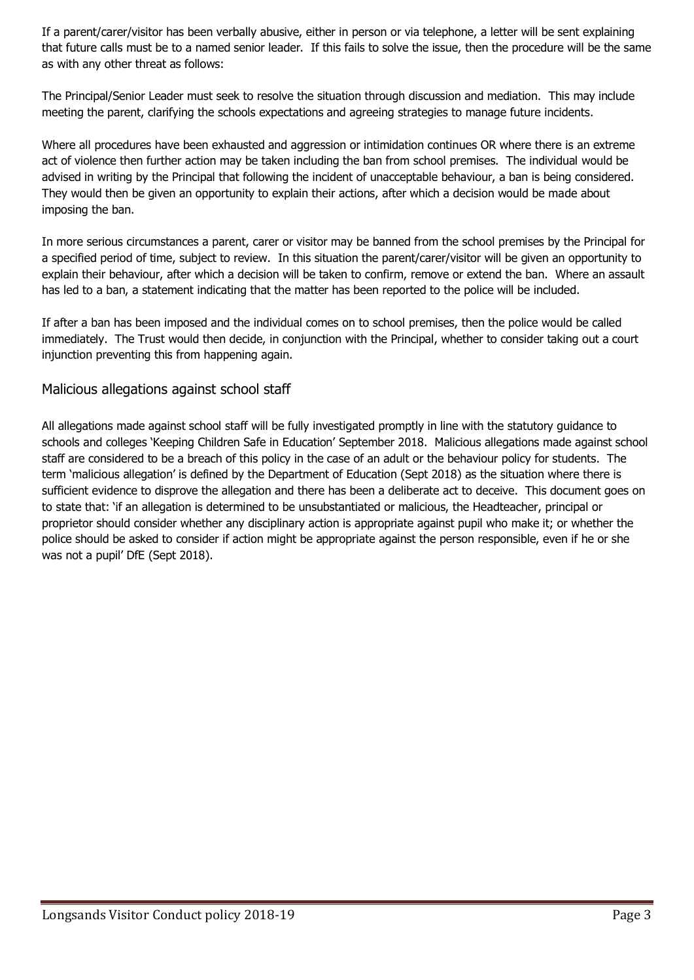If a parent/carer/visitor has been verbally abusive, either in person or via telephone, a letter will be sent explaining that future calls must be to a named senior leader. If this fails to solve the issue, then the procedure will be the same as with any other threat as follows:

The Principal/Senior Leader must seek to resolve the situation through discussion and mediation. This may include meeting the parent, clarifying the schools expectations and agreeing strategies to manage future incidents.

Where all procedures have been exhausted and aggression or intimidation continues OR where there is an extreme act of violence then further action may be taken including the ban from school premises. The individual would be advised in writing by the Principal that following the incident of unacceptable behaviour, a ban is being considered. They would then be given an opportunity to explain their actions, after which a decision would be made about imposing the ban.

In more serious circumstances a parent, carer or visitor may be banned from the school premises by the Principal for a specified period of time, subject to review. In this situation the parent/carer/visitor will be given an opportunity to explain their behaviour, after which a decision will be taken to confirm, remove or extend the ban. Where an assault has led to a ban, a statement indicating that the matter has been reported to the police will be included.

If after a ban has been imposed and the individual comes on to school premises, then the police would be called immediately. The Trust would then decide, in conjunction with the Principal, whether to consider taking out a court injunction preventing this from happening again.

#### Malicious allegations against school staff

All allegations made against school staff will be fully investigated promptly in line with the statutory guidance to schools and colleges 'Keeping Children Safe in Education' September 2018. Malicious allegations made against school staff are considered to be a breach of this policy in the case of an adult or the behaviour policy for students. The term 'malicious allegation' is defined by the Department of Education (Sept 2018) as the situation where there is sufficient evidence to disprove the allegation and there has been a deliberate act to deceive. This document goes on to state that: 'if an allegation is determined to be unsubstantiated or malicious, the Headteacher, principal or proprietor should consider whether any disciplinary action is appropriate against pupil who make it; or whether the police should be asked to consider if action might be appropriate against the person responsible, even if he or she was not a pupil' DfE (Sept 2018).